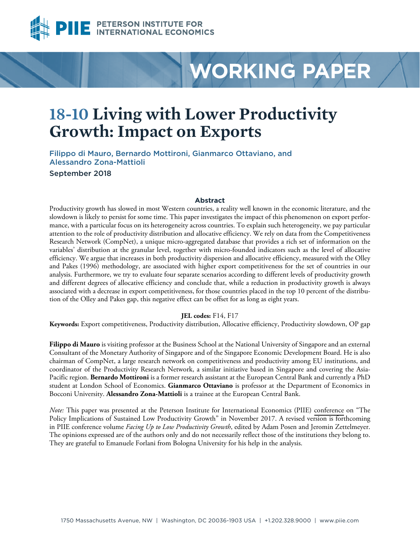

# **WORKING PAPER**

# **18-10 Living with Lower Productivity Growth: Impact on Exports**

Filippo di Mauro, Bernardo Mottironi, Gianmarco Ottaviano, and Alessandro Zona-Mattioli September 2018

#### **Abstract**

Productivity growth has slowed in most Western countries, a reality well known in the economic literature, and the slowdown is likely to persist for some time. This paper investigates the impact of this phenomenon on export performance, with a particular focus on its heterogeneity across countries. To explain such heterogeneity, we pay particular attention to the role of productivity distribution and allocative efficiency. We rely on data from the Competitiveness Research Network (CompNet), a unique micro-aggregated database that provides a rich set of information on the variables' distribution at the granular level, together with micro-founded indicators such as the level of allocative efficiency. We argue that increases in both productivity dispersion and allocative efficiency, measured with the Olley and Pakes (1996) methodology, are associated with higher export competitiveness for the set of countries in our analysis. Furthermore, we try to evaluate four separate scenarios according to different levels of productivity growth and different degrees of allocative efficiency and conclude that, while a reduction in productivity growth is always associated with a decrease in export competitiveness, for those countries placed in the top 10 percent of the distribution of the Olley and Pakes gap, this negative effect can be offset for as long as eight years.

#### **JEL codes:** F14, F17

**Keywords:** Export competitiveness, Productivity distribution, Allocative efficiency, Productivity slowdown, OP gap

**Filippo di Mauro** is visiting professor at the Business School at the National University of Singapore and an external Consultant of the Monetary Authority of Singapore and of the Singapore Economic Development Board. He is also chairman of CompNet, a large research network on competitiveness and productivity among EU institutions, and coordinator of the Productivity Research Network, a similar initiative based in Singapore and covering the Asia-Pacific region. **Bernardo Mottironi** is a former research assistant at the European Central Bank and currently a PhD student at London School of Economics. **Gianmarco Ottaviano** is professor at the Department of Economics in Bocconi University. **Alessandro Zona-Mattioli** is a trainee at the European Central Bank.

*Note:* This paper was presented at the Peterson Institute for International Economics (PIIE) [conference](https://piie.com/events/policy-implications-sustained-low-productivity-growth) on "The Policy Implications of Sustained Low Productivity Growth" in November 2017. A revised version is forthcoming in PIIE conference volume *Facing Up to Low Productivity Growth*, edited by Adam Posen and Jeromin Zettelmeyer. The opinions expressed are of the authors only and do not necessarily reflect those of the institutions they belong to. They are grateful to Emanuele Forlani from Bologna University for his help in the analysis.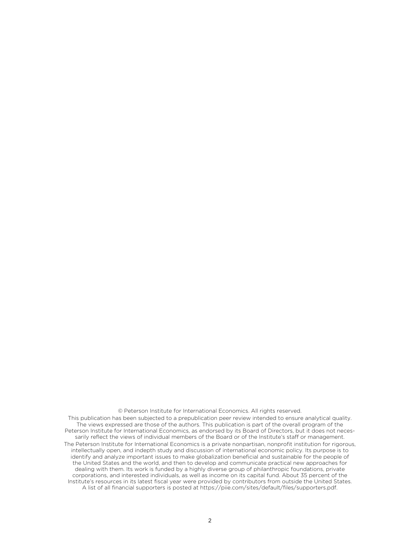© Peterson Institute for International Economics. All rights reserved.

This publication has been subjected to a prepublication peer review intended to ensure analytical quality. The views expressed are those of the authors. This publication is part of the overall program of the Peterson Institute for International Economics, as endorsed by its Board of Directors, but it does not necessarily reflect the views of individual members of the Board or of the Institute's staff or management. The Peterson Institute for International Economics is a private nonpartisan, nonprofit institution for rigorous, intellectually open, and indepth study and discussion of international economic policy. Its purpose is to identify and analyze important issues to make globalization beneficial and sustainable for the people of the United States and the world, and then to develop and communicate practical new approaches for dealing with them. Its work is funded by a highly diverse group of philanthropic foundations, private corporations, and interested individuals, as well as income on its capital fund. About 35 percent of the Institute's resources in its latest fiscal year were provided by contributors from outside the United States. A list of all financial supporters is posted at https://piie.com/sites/default/files/supporters.pdf.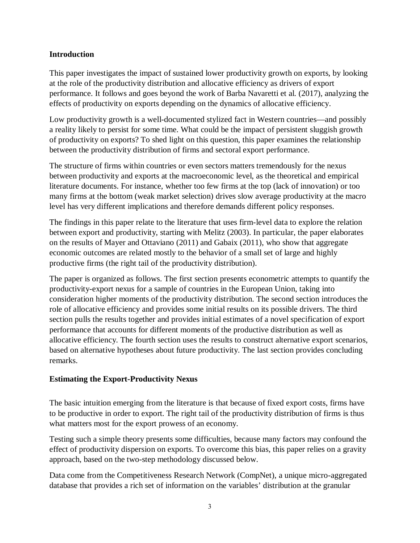#### **Introduction**

This paper investigates the impact of sustained lower productivity growth on exports, by looking at the role of the productivity distribution and allocative efficiency as drivers of export performance. It follows and goes beyond the work of Barba Navaretti et al. (2017), analyzing the effects of productivity on exports depending on the dynamics of allocative efficiency.

Low productivity growth is a well-documented stylized fact in Western countries—and possibly a reality likely to persist for some time. What could be the impact of persistent sluggish growth of productivity on exports? To shed light on this question, this paper examines the relationship between the productivity distribution of firms and sectoral export performance.

The structure of firms within countries or even sectors matters tremendously for the nexus between productivity and exports at the macroeconomic level, as the theoretical and empirical literature documents. For instance, whether too few firms at the top (lack of innovation) or too many firms at the bottom (weak market selection) drives slow average productivity at the macro level has very different implications and therefore demands different policy responses.

The findings in this paper relate to the literature that uses firm-level data to explore the relation between export and productivity, starting with Melitz (2003). In particular, the paper elaborates on the results of Mayer and Ottaviano (2011) and Gabaix (2011), who show that aggregate economic outcomes are related mostly to the behavior of a small set of large and highly productive firms (the right tail of the productivity distribution).

The paper is organized as follows. The first section presents econometric attempts to quantify the productivity-export nexus for a sample of countries in the European Union, taking into consideration higher moments of the productivity distribution. The second section introduces the role of allocative efficiency and provides some initial results on its possible drivers. The third section pulls the results together and provides initial estimates of a novel specification of export performance that accounts for different moments of the productive distribution as well as allocative efficiency. The fourth section uses the results to construct alternative export scenarios, based on alternative hypotheses about future productivity. The last section provides concluding remarks.

### **Estimating the Export-Productivity Nexus**

The basic intuition emerging from the literature is that because of fixed export costs, firms have to be productive in order to export. The right tail of the productivity distribution of firms is thus what matters most for the export prowess of an economy.

Testing such a simple theory presents some difficulties, because many factors may confound the effect of productivity dispersion on exports. To overcome this bias, this paper relies on a gravity approach, based on the two-step methodology discussed below.

Data come from the [Competitiveness Research Network](http://www.comp-net.org/) (CompNet), a unique micro-aggregated database that provides a rich set of information on the variables' distribution at the granular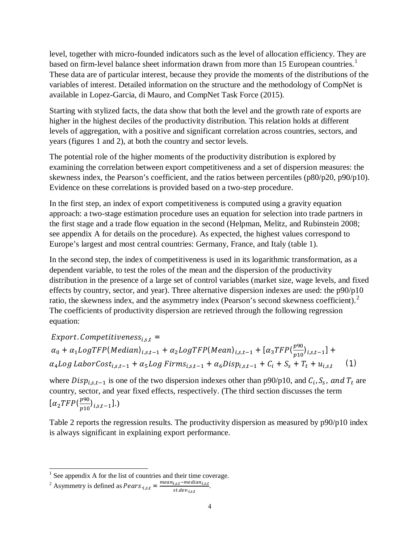level, together with micro-founded indicators such as the level of allocation efficiency. They are based on firm-level balance sheet information drawn from more than [1](#page-3-0)5 European countries.<sup>1</sup> These data are of particular interest, because they provide the moments of the distributions of the variables of interest. Detailed information on the structure and the methodology of CompNet is available in Lopez-Garcia, di Mauro, and CompNet Task Force (2015).

Starting with stylized facts, the data show that both the level and the growth rate of exports are higher in the highest deciles of the productivity distribution. This relation holds at different levels of aggregation, with a positive and significant correlation across countries, sectors, and years (figures 1 and 2), at both the country and sector levels.

The potential role of the higher moments of the productivity distribution is explored by examining the correlation between export competitiveness and a set of dispersion measures: the skewness index, the Pearson's coefficient, and the ratios between percentiles (p80/p20, p90/p10). Evidence on these correlations is provided based on a two-step procedure.

In the first step, an index of export competitiveness is computed using a gravity equation approach: a two-stage estimation procedure uses an equation for selection into trade partners in the first stage and a trade flow equation in the second (Helpman, Melitz, and Rubinstein 2008; see appendix A for details on the procedure). As expected, the highest values correspond to Europe's largest and most central countries: Germany, France, and Italy (table 1).

In the second step, the index of competitiveness is used in its logarithmic transformation, as a dependent variable, to test the roles of the mean and the dispersion of the productivity distribution in the presence of a large set of control variables (market size, wage levels, and fixed effects by country, sector, and year). Three alternative dispersion indexes are used: the p90/p10 ratio, the skewness index, and the asymmetry index (Pearson's second skewness coefficient).<sup>[2](#page-3-1)</sup> The coefficients of productivity dispersion are retrieved through the following regression equation:

 $Export.$  Competitiveness<sub>i.s.t</sub> =  $\alpha_0 + \alpha_1 LogTFP(Median)_{i,s,t-1} + \alpha_2 LogTFP(Mean)_{i,s,t-1} + [\alpha_3 TFP(\frac{p90}{p10})_{i,s,t-1}] +$  $\alpha_4 Log$  LaborCost<sub>ist-1</sub> +  $\alpha_5 Log$  Firms<sub>ist-1</sub> +  $\alpha_6 Disp_{i_s,t-1}$  +  $C_i$  +  $S_s$  +  $T_t$  +  $u_{i_s,t}$  (1)

where  $Disp_{i,s,t-1}$  is one of the two dispersion indexes other than p90/p10, and  $C_i$ ,  $S_s$ , and  $T_t$  are country, sector, and year fixed effects, respectively. (The third section discusses the term  $[\alpha_2 TFP(\frac{p90}{p10})_{i,s,t-1}].$ 

Table 2 reports the regression results. The productivity dispersion as measured by p90/p10 index is always significant in explaining export performance.

<span id="page-3-1"></span><sup>2</sup> Asymmetry is defined as  $PearS_{i,s,t} = \frac{mean_{i,s,t} - median_{i,s,t}}{st.dev_{i,s,t}}.$ 

<span id="page-3-0"></span> $<sup>1</sup>$  See appendix A for the list of countries and their time coverage.</sup>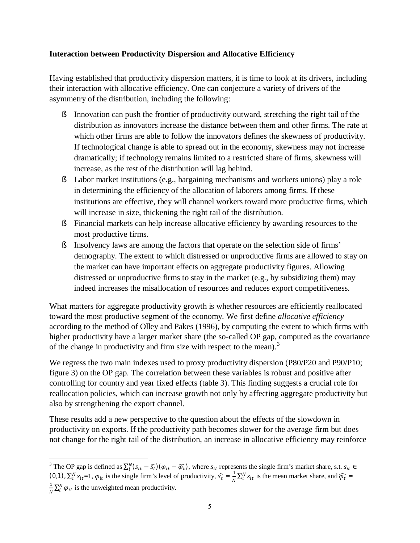#### **Interaction between Productivity Dispersion and Allocative Efficiency**

Having established that productivity dispersion matters, it is time to look at its drivers, including their interaction with allocative efficiency. One can conjecture a variety of drivers of the asymmetry of the distribution, including the following:

- § Innovation can push the frontier of productivity outward, stretching the right tail of the distribution as innovators increase the distance between them and other firms. The rate at which other firms are able to follow the innovators defines the skewness of productivity. If technological change is able to spread out in the economy, skewness may not increase dramatically; if technology remains limited to a restricted share of firms, skewness will increase, as the rest of the distribution will lag behind.
- § Labor market institutions (e.g., bargaining mechanisms and workers unions) play a role in determining the efficiency of the allocation of laborers among firms. If these institutions are effective, they will channel workers toward more productive firms, which will increase in size, thickening the right tail of the distribution.
- § Financial markets can help increase allocative efficiency by awarding resources to the most productive firms.
- § Insolvency laws are among the factors that operate on the selection side of firms' demography. The extent to which distressed or unproductive firms are allowed to stay on the market can have important effects on aggregate productivity figures. Allowing distressed or unproductive firms to stay in the market (e.g., by subsidizing them) may indeed increases the misallocation of resources and reduces export competitiveness.

What matters for aggregate productivity growth is whether resources are efficiently reallocated toward the most productive segment of the economy. We first define *allocative efficiency* according to the method of Olley and Pakes (1996), by computing the extent to which firms with higher productivity have a larger market share (the so-called OP gap, computed as the covariance of the change in productivity and firm size with respect to the mean).<sup>[3](#page-4-0)</sup>

We regress the two main indexes used to proxy productivity dispersion (P80/P20 and P90/P10; figure 3) on the OP gap. The correlation between these variables is robust and positive after controlling for country and year fixed effects (table 3). This finding suggests a crucial role for reallocation policies, which can increase growth not only by affecting aggregate productivity but also by strengthening the export channel.

These results add a new perspective to the question about the effects of the slowdown in productivity on exports. If the productivity path becomes slower for the average firm but does not change for the right tail of the distribution, an increase in allocative efficiency may reinforce

<span id="page-4-0"></span><sup>&</sup>lt;sup>3</sup> The OP gap is defined as  $\sum_{i}^{N} (s_{it} - \hat{s}_t) (\varphi_{it} - \widehat{\varphi_t})$ , where  $s_{it}$  represents the single firm's market share, s.t.  $s_{it} \in$ (0,1),  $\sum_{i=1}^{N} s_{it} = 1$ ,  $\varphi_{it}$  is the single firm's level of productivity,  $\widehat{s_t} = \frac{1}{N} \sum_{i=1}^{N} s_{it}$  is the mean market share, and  $\widehat{\varphi_t} = \frac{1}{N} \sum_{i=1}^{N} s_{it}$  $\frac{1}{N}\sum_{i}^{N} \varphi_{it}$  is the unweighted mean productivity.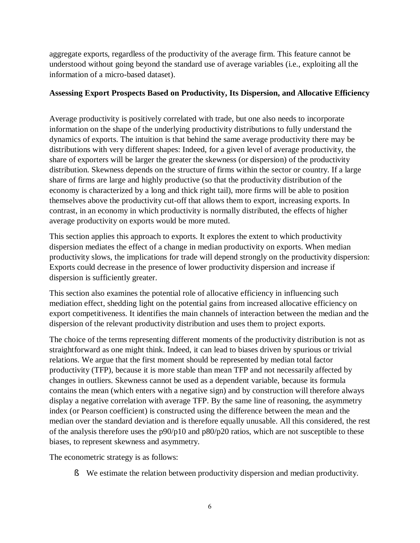aggregate exports, regardless of the productivity of the average firm. This feature cannot be understood without going beyond the standard use of average variables (i.e., exploiting all the information of a micro-based dataset).

### **Assessing Export Prospects Based on Productivity, Its Dispersion, and Allocative Efficiency**

Average productivity is positively correlated with trade, but one also needs to incorporate information on the shape of the underlying productivity distributions to fully understand the dynamics of exports. The intuition is that behind the same average productivity there may be distributions with very different shapes: Indeed, for a given level of average productivity, the share of exporters will be larger the greater the skewness (or dispersion) of the productivity distribution. Skewness depends on the structure of firms within the sector or country. If a large share of firms are large and highly productive (so that the productivity distribution of the economy is characterized by a long and thick right tail), more firms will be able to position themselves above the productivity cut-off that allows them to export, increasing exports. In contrast, in an economy in which productivity is normally distributed, the effects of higher average productivity on exports would be more muted.

This section applies this approach to exports. It explores the extent to which productivity dispersion mediates the effect of a change in median productivity on exports. When median productivity slows, the implications for trade will depend strongly on the productivity dispersion: Exports could decrease in the presence of lower productivity dispersion and increase if dispersion is sufficiently greater.

This section also examines the potential role of allocative efficiency in influencing such mediation effect, shedding light on the potential gains from increased allocative efficiency on export competitiveness. It identifies the main channels of interaction between the median and the dispersion of the relevant productivity distribution and uses them to project exports.

The choice of the terms representing different moments of the productivity distribution is not as straightforward as one might think. Indeed, it can lead to biases driven by spurious or trivial relations. We argue that the first moment should be represented by median total factor productivity (TFP), because it is more stable than mean TFP and not necessarily affected by changes in outliers. Skewness cannot be used as a dependent variable, because its formula contains the mean (which enters with a negative sign) and by construction will therefore always display a negative correlation with average TFP. By the same line of reasoning, the asymmetry index (or Pearson coefficient) is constructed using the difference between the mean and the median over the standard deviation and is therefore equally unusable. All this considered, the rest of the analysis therefore uses the p90/p10 and p80/p20 ratios, which are not susceptible to these biases, to represent skewness and asymmetry.

The econometric strategy is as follows:

§ We estimate the relation between productivity dispersion and median productivity.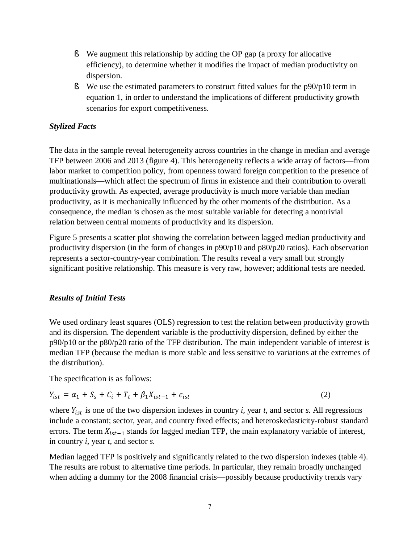- § We augment this relationship by adding the OP gap (a proxy for allocative efficiency), to determine whether it modifies the impact of median productivity on dispersion.
- § We use the estimated parameters to construct fitted values for the p90/p10 term in equation 1, in order to understand the implications of different productivity growth scenarios for export competitiveness.

### *Stylized Facts*

The data in the sample reveal heterogeneity across countries in the change in median and average TFP between 2006 and 2013 (figure 4). This heterogeneity reflects a wide array of factors—from labor market to competition policy, from openness toward foreign competition to the presence of multinationals—which affect the spectrum of firms in existence and their contribution to overall productivity growth. As expected, average productivity is much more variable than median productivity, as it is mechanically influenced by the other moments of the distribution. As a consequence, the median is chosen as the most suitable variable for detecting a nontrivial relation between central moments of productivity and its dispersion.

Figure 5 presents a scatter plot showing the correlation between lagged median productivity and productivity dispersion (in the form of changes in p90/p10 and p80/p20 ratios). Each observation represents a sector-country-year combination. The results reveal a very small but strongly significant positive relationship. This measure is very raw, however; additional tests are needed.

#### *Results of Initial Tests*

We used ordinary least squares (OLS) regression to test the relation between productivity growth and its dispersion. The dependent variable is the productivity dispersion, defined by either the p90/p10 or the p80/p20 ratio of the TFP distribution. The main independent variable of interest is median TFP (because the median is more stable and less sensitive to variations at the extremes of the distribution).

The specification is as follows:

$$
Y_{ist} = \alpha_1 + S_s + C_i + T_t + \beta_1 X_{ist-1} + \epsilon_{ist} \tag{2}
$$

where  $Y_{ist}$  is one of the two dispersion indexes in country *i*, year *t*, and sector *s*. All regressions include a constant; sector, year, and country fixed effects; and heteroskedasticity-robust standard errors. The term  $X_{ist-1}$  stands for lagged median TFP, the main explanatory variable of interest, in country *i,* year *t,* and sector *s.*

Median lagged TFP is positively and significantly related to the two dispersion indexes (table 4). The results are robust to alternative time periods. In particular, they remain broadly unchanged when adding a dummy for the 2008 financial crisis—possibly because productivity trends vary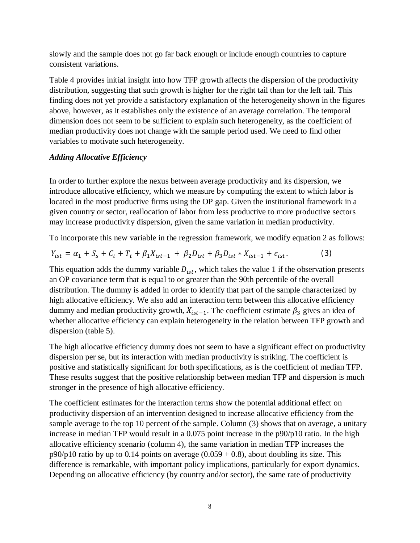slowly and the sample does not go far back enough or include enough countries to capture consistent variations.

Table 4 provides initial insight into how TFP growth affects the dispersion of the productivity distribution, suggesting that such growth is higher for the right tail than for the left tail. This finding does not yet provide a satisfactory explanation of the heterogeneity shown in the figures above, however, as it establishes only the existence of an average correlation. The temporal dimension does not seem to be sufficient to explain such heterogeneity, as the coefficient of median productivity does not change with the sample period used. We need to find other variables to motivate such heterogeneity.

### *Adding Allocative Efficiency*

In order to further explore the nexus between average productivity and its dispersion, we introduce allocative efficiency, which we measure by computing the extent to which labor is located in the most productive firms using the OP gap. Given the institutional framework in a given country or sector, reallocation of labor from less productive to more productive sectors may increase productivity dispersion, given the same variation in median productivity.

To incorporate this new variable in the regression framework, we modify equation 2 as follows:

$$
Y_{ist} = \alpha_1 + S_s + C_i + T_t + \beta_1 X_{ist-1} + \beta_2 D_{ist} + \beta_3 D_{ist} * X_{ist-1} + \epsilon_{ist}.
$$
 (3)

This equation adds the dummy variable  $D_{ist}$ , which takes the value 1 if the observation presents an OP covariance term that is equal to or greater than the 90th percentile of the overall distribution. The dummy is added in order to identify that part of the sample characterized by high allocative efficiency. We also add an interaction term between this allocative efficiency dummy and median productivity growth,  $X_{ist-1}$ . The coefficient estimate  $\beta_3$  gives an idea of whether allocative efficiency can explain heterogeneity in the relation between TFP growth and dispersion (table 5).

The high allocative efficiency dummy does not seem to have a significant effect on productivity dispersion per se, but its interaction with median productivity is striking. The coefficient is positive and statistically significant for both specifications, as is the coefficient of median TFP. These results suggest that the positive relationship between median TFP and dispersion is much stronger in the presence of high allocative efficiency.

The coefficient estimates for the interaction terms show the potential additional effect on productivity dispersion of an intervention designed to increase allocative efficiency from the sample average to the top 10 percent of the sample. Column (3) shows that on average, a unitary increase in median TFP would result in a 0.075 point increase in the p90/p10 ratio. In the high allocative efficiency scenario (column 4), the same variation in median TFP increases the  $p90/p10$  ratio by up to 0.14 points on average (0.059 + 0.8), about doubling its size. This difference is remarkable, with important policy implications, particularly for export dynamics. Depending on allocative efficiency (by country and/or sector), the same rate of productivity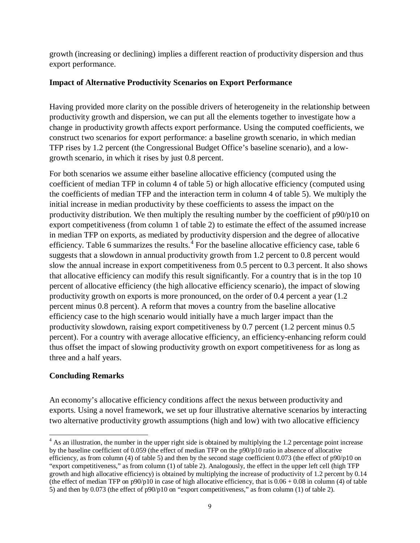growth (increasing or declining) implies a different reaction of productivity dispersion and thus export performance.

#### **Impact of Alternative Productivity Scenarios on Export Performance**

Having provided more clarity on the possible drivers of heterogeneity in the relationship between productivity growth and dispersion, we can put all the elements together to investigate how a change in productivity growth affects export performance. Using the computed coefficients, we construct two scenarios for export performance: a baseline growth scenario, in which median TFP rises by 1.2 percent (the Congressional Budget Office's baseline scenario), and a lowgrowth scenario, in which it rises by just 0.8 percent.

For both scenarios we assume either baseline allocative efficiency (computed using the coefficient of median TFP in column 4 of table 5) or high allocative efficiency (computed using the coefficients of median TFP and the interaction term in column 4 of table 5). We multiply the initial increase in median productivity by these coefficients to assess the impact on the productivity distribution. We then multiply the resulting number by the coefficient of p90/p10 on export competitiveness (from column 1 of table 2) to estimate the effect of the assumed increase in median TFP on exports, as mediated by productivity dispersion and the degree of allocative efficiency. Table 6 summarizes the results. $4$  For the baseline allocative efficiency case, table 6 suggests that a slowdown in annual productivity growth from 1.2 percent to 0.8 percent would slow the annual increase in export competitiveness from 0.5 percent to 0.3 percent. It also shows that allocative efficiency can modify this result significantly. For a country that is in the top 10 percent of allocative efficiency (the high allocative efficiency scenario), the impact of slowing productivity growth on exports is more pronounced, on the order of 0.4 percent a year (1.2 percent minus 0.8 percent). A reform that moves a country from the baseline allocative efficiency case to the high scenario would initially have a much larger impact than the productivity slowdown, raising export competitiveness by 0.7 percent (1.2 percent minus 0.5 percent). For a country with average allocative efficiency, an efficiency-enhancing reform could thus offset the impact of slowing productivity growth on export competitiveness for as long as three and a half years.

### **Concluding Remarks**

An economy's allocative efficiency conditions affect the nexus between productivity and exports. Using a novel framework, we set up four illustrative alternative scenarios by interacting two alternative productivity growth assumptions (high and low) with two allocative efficiency

<span id="page-8-0"></span><sup>&</sup>lt;sup>4</sup> As an illustration, the number in the upper right side is obtained by multiplying the 1.2 percentage point increase by the baseline coefficient of 0.059 (the effect of median TFP on the p90/p10 ratio in absence of allocative efficiency, as from column (4) of table 5) and then by the second stage coefficient 0.073 (the effect of  $p90/p10$  on "export competitiveness," as from column (1) of table 2). Analogously, the effect in the upper left cell (high TFP growth and high allocative efficiency) is obtained by multiplying the increase of productivity of 1.2 percent by 0.14 (the effect of median TFP on  $p90/p10$  in case of high allocative efficiency, that is  $0.06 + 0.08$  in column (4) of table 5) and then by 0.073 (the effect of p90/p10 on "export competitiveness," as from column (1) of table 2).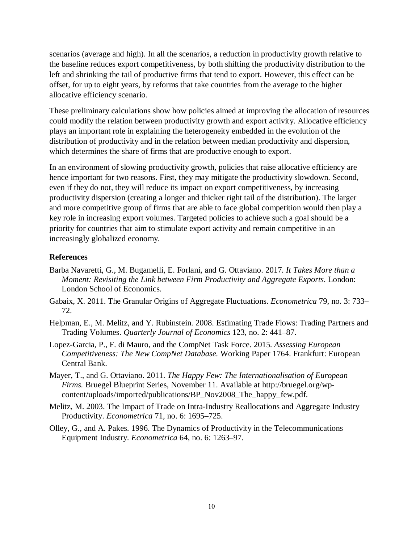scenarios (average and high). In all the scenarios, a reduction in productivity growth relative to the baseline reduces export competitiveness, by both shifting the productivity distribution to the left and shrinking the tail of productive firms that tend to export. However, this effect can be offset, for up to eight years, by reforms that take countries from the average to the higher allocative efficiency scenario.

These preliminary calculations show how policies aimed at improving the allocation of resources could modify the relation between productivity growth and export activity. Allocative efficiency plays an important role in explaining the heterogeneity embedded in the evolution of the distribution of productivity and in the relation between median productivity and dispersion, which determines the share of firms that are productive enough to export.

In an environment of slowing productivity growth, policies that raise allocative efficiency are hence important for two reasons. First, they may mitigate the productivity slowdown. Second, even if they do not, they will reduce its impact on export competitiveness, by increasing productivity dispersion (creating a longer and thicker right tail of the distribution). The larger and more competitive group of firms that are able to face global competition would then play a key role in increasing export volumes. Targeted policies to achieve such a goal should be a priority for countries that aim to stimulate export activity and remain competitive in an increasingly globalized economy.

#### **References**

- Barba Navaretti, G., M. Bugamelli, E. Forlani, and G. Ottaviano. 2017. *It Takes More than a Moment: Revisiting the Link between Firm Productivity and Aggregate Exports*. London: London School of Economics.
- Gabaix, X. 2011. The Granular Origins of Aggregate Fluctuations. *Econometrica* 79, no. 3: 733– 72.
- Helpman, E., M. Melitz, and Y. Rubinstein. 2008. Estimating Trade Flows: Trading Partners and Trading Volumes. *Quarterly Journal of Economics* 123, no. 2: 441–87.
- Lopez-Garcia, P., F. di Mauro, and the CompNet Task Force. 2015. *Assessing European Competitiveness: The New CompNet Database.* Working Paper 1764. Frankfurt: European Central Bank.
- Mayer, T., and G. Ottaviano. 2011. *The Happy Few: The Internationalisation of European Firms.* Bruegel Blueprint Series, November 11. Available at [http://bruegel.org/wp](http://bruegel.org/wp-content/uploads/imported/publications/BP_Nov2008_The_happy_few.pdf)[content/uploads/imported/publications/BP\\_Nov2008\\_The\\_happy\\_few.pdf.](http://bruegel.org/wp-content/uploads/imported/publications/BP_Nov2008_The_happy_few.pdf)
- Melitz, M. 2003. The Impact of Trade on Intra-Industry Reallocations and Aggregate Industry Productivity. *Econometrica* 71, no. 6: 1695–725.
- Olley, G., and A. Pakes. 1996. The Dynamics of Productivity in the Telecommunications Equipment Industry. *Econometrica* 64, no. 6: 1263–97.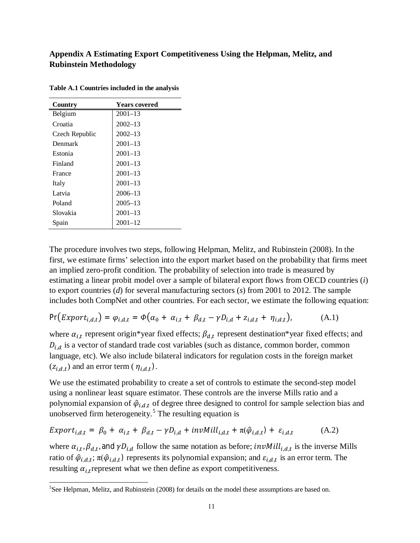### **Appendix A Estimating Export Competitiveness Using the Helpman, Melitz, and Rubinstein Methodology**

| Country        | <b>Years covered</b> |
|----------------|----------------------|
| Belgium        | $2001 - 13$          |
| Croatia        | $2002 - 13$          |
| Czech Republic | $2002 - 13$          |
| Denmark        | $2001 - 13$          |
| Estonia        | $2001 - 13$          |
| Finland        | $2001 - 13$          |
| France         | $2001 - 13$          |
| Italy          | $2001 - 13$          |
| Latvia         | $2006 - 13$          |
| Poland         | $2005 - 13$          |
| Slovakia       | $2001 - 13$          |
| Spain          | $2001 - 12$          |

**Table A.1 Countries included in the analysis**

The procedure involves two steps, following Helpman, Melitz, and Rubinstein (2008). In the first, we estimate firms' selection into the export market based on the probability that firms meet an implied zero-profit condition. The probability of selection into trade is measured by estimating a linear probit model over a sample of bilateral export flows from OECD countries (*i*) to export countries (*d*) for several manufacturing sectors (*s*) from 2001 to 2012. The sample includes both CompNet and other countries. For each sector, we estimate the following equation:

$$
\Pr\big(Export_{i,d,t}\big) = \varphi_{i,d,t} = \varPhi\big(\alpha_0 + \alpha_{i,t} + \beta_{d,t} - \gamma D_{i,d} + z_{i,d,t} + \eta_{i,d,t}\big),\tag{A.1}
$$

where  $\alpha_{i,t}$  represent origin\*year fixed effects;  $\beta_{d,t}$  represent destination\*year fixed effects; and  $D_{i,d}$  is a vector of standard trade cost variables (such as distance, common border, common language, etc). We also include bilateral indicators for regulation costs in the foreign market  $(z_{i,d,t})$  and an error term (  $\eta_{i,d,t}$ ).

We use the estimated probability to create a set of controls to estimate the second-step model using a nonlinear least square estimator. These controls are the inverse Mills ratio and a polynomial expansion of  $\hat{\varphi}_{i,d,t}$  of degree three designed to control for sample selection bias and unobserved firm heterogeneity.<sup>[5](#page-10-0)</sup> The resulting equation is

$$
Export_{i,d,t} = \beta_0 + \alpha_{i,t} + \beta_{d,t} - \gamma D_{i,d} + invMill_{i,d,t} + \pi(\hat{\varphi}_{i,d,t}) + \varepsilon_{i,d,t}
$$
(A.2)

where  $\alpha_{i,t}$ ,  $\beta_{d,t}$ , and  $\gamma D_{i,d}$  follow the same notation as before; *invMill<sub>i,d,t</sub>* is the inverse Mills ratio of  $\hat{\varphi}_{i,d,t}$ ;  $\pi(\hat{\varphi}_{i,d,t})$  represents its polynomial expansion; and  $\varepsilon_{i,d,t}$  is an error term. The resulting  $\alpha_i$  represent what we then define as export competitiveness.

<span id="page-10-0"></span><sup>&</sup>lt;sup>5</sup>See Helpman, Melitz, and Rubinstein (2008) for details on the model these assumptions are based on.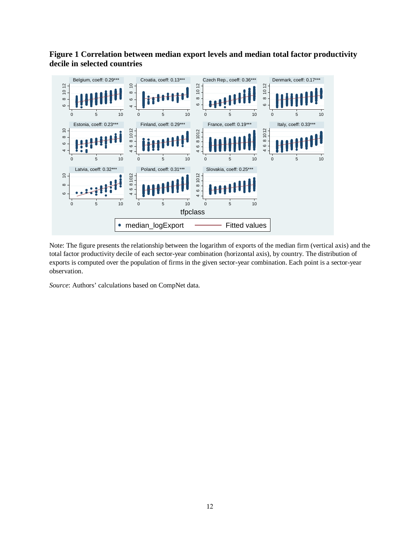**Figure 1 Correlation between median export levels and median total factor productivity decile in selected countries**



Note: The figure presents the relationship between the logarithm of exports of the median firm (vertical axis) and the total factor productivity decile of each sector-year combination (horizontal axis), by country. The distribution of exports is computed over the population of firms in the given sector-year combination. Each point is a sector-year observation.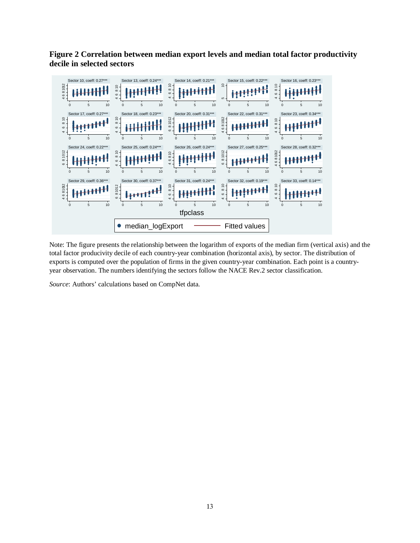**Figure 2 Correlation between median export levels and median total factor productivity decile in selected sectors**



Note: The figure presents the relationship between the logarithm of exports of the median firm (vertical axis) and the total factor producivity decile of each country-year combination (horizontal axis), by sector. The distribution of exports is computed over the population of firms in the given country-year combination. Each point is a countryyear observation. The numbers identifying the sectors follow the NACE Rev.2 sector classification.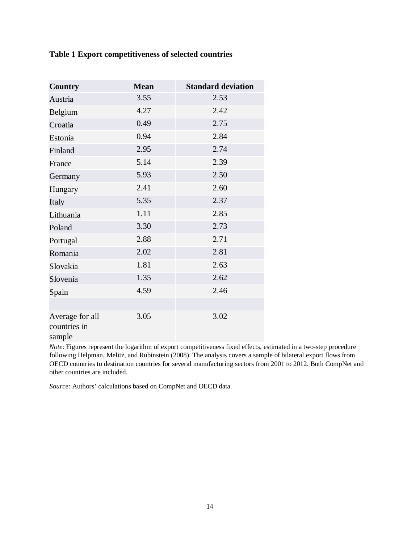### **Table 1 Export competitiveness of selected countries**

| <b>Country</b>                            | <b>Mean</b> | <b>Standard deviation</b> |
|-------------------------------------------|-------------|---------------------------|
| Austria                                   | 3.55        | 2.53                      |
| Belgium                                   | 4.27        | 2.42                      |
| Croatia                                   | 0.49        | 2.75                      |
| Estonia                                   | 0.94        | 2.84                      |
| Finland                                   | 2.95        | 2.74                      |
| France                                    | 5.14        | 2.39                      |
| Germany                                   | 5.93        | 2.50                      |
| Hungary                                   | 2.41        | 2.60                      |
| Italy                                     | 5.35        | 2.37                      |
| Lithuania                                 | 1.11        | 2.85                      |
| Poland                                    | 3.30        | 2.73                      |
| Portugal                                  | 2.88        | 2.71                      |
| Romania                                   | 2.02        | 2.81                      |
| Slovakia                                  | 1.81        | 2.63                      |
| Slovenia                                  | 1.35        | 2.62                      |
| Spain                                     | 4.59        | 2.46                      |
|                                           |             |                           |
| Average for all<br>countries in<br>sample | 3.05        | 3.02                      |

*Note*: Figures represent the logarithm of export competitiveness fixed effects, estimated in a two-step procedure following Helpman, Melitz, and Rubinstein (2008). The analysis covers a sample of bilateral export flows from OECD countries to destination countries for several manufacturing sectors from 2001 to 2012. Both CompNet and other countries are included.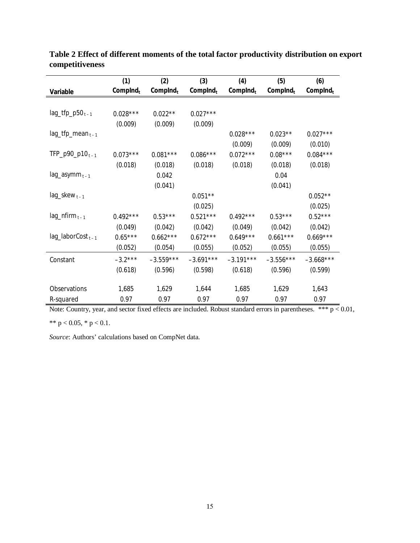|                                 | (1)         | (2)         | (3)                  | (4)                  | (5)         | (6)         |
|---------------------------------|-------------|-------------|----------------------|----------------------|-------------|-------------|
| Variable                        | Complnd $t$ | Complnd $t$ | Complnd <sub>t</sub> | Complnd <sub>t</sub> | Complnd $t$ | Complnd $t$ |
|                                 |             |             |                      |                      |             |             |
| $lag_{tfp_p50_{t-1}}$           | $0.028***$  | $0.022**$   | $0.027***$           |                      |             |             |
|                                 | (0.009)     | (0.009)     | (0.009)              |                      |             |             |
| $lag_tfp_mean_{t-1}$            |             |             |                      | $0.028***$           | $0.023**$   | $0.027***$  |
|                                 |             |             |                      | (0.009)              | (0.009)     | (0.010)     |
| TFP_p90_p10 <sub>t-1</sub>      | $0.073***$  | $0.081***$  | $0.086***$           | $0.072***$           | $0.08***$   | $0.084***$  |
|                                 | (0.018)     | (0.018)     | (0.018)              | (0.018)              | (0.018)     | (0.018)     |
| lag_asymm <sub>t-1</sub>        |             | 0.042       |                      |                      | 0.04        |             |
|                                 |             | (0.041)     |                      |                      | (0.041)     |             |
| $lag\_skew_{t-1}$               |             |             | $0.051**$            |                      |             | $0.052**$   |
|                                 |             |             | (0.025)              |                      |             | (0.025)     |
| $lag_n firm_{t-1}$              | $0.492***$  | $0.53***$   | $0.521***$           | $0.492***$           | $0.53***$   | $0.52***$   |
|                                 | (0.049)     | (0.042)     | (0.042)              | (0.049)              | (0.042)     | (0.042)     |
| $lag$ _laborCost <sub>t-1</sub> | $0.65***$   | $0.662***$  | $0.672***$           | $0.649***$           | $0.661***$  | $0.669***$  |
|                                 | (0.052)     | (0.054)     | (0.055)              | (0.052)              | (0.055)     | (0.055)     |
| Constant                        | $-3.2***$   | $-3.559***$ | $-3.691***$          | $-3.191***$          | $-3.556***$ | $-3.668***$ |
|                                 | (0.618)     | (0.596)     | (0.598)              | (0.618)              | (0.596)     | (0.599)     |
|                                 |             |             |                      |                      |             |             |
| Observations                    | 1,685       | 1,629       | 1,644                | 1,685                | 1,629       | 1,643       |
| R-squared                       | 0.97        | 0.97        | 0.97                 | 0.97                 | 0.97        | 0.97        |

**Table 2 Effect of different moments of the total factor productivity distribution on export competitiveness**

Note: Country, year, and sector fixed effects are included. Robust standard errors in parentheses. \*\*\*  $p < 0.01$ ,

\*\*  $p < 0.05$ , \*  $p < 0.1$ .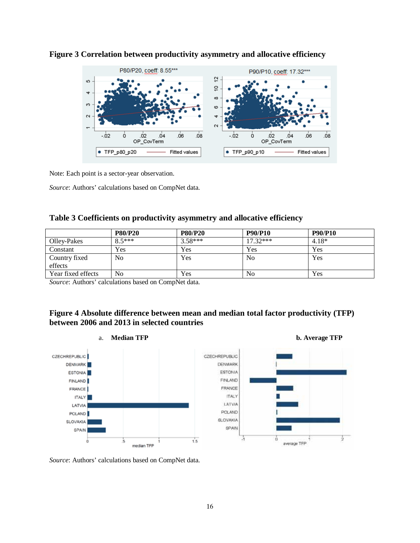



Note: Each point is a sector-year observation.

*Source*: Authors' calculations based on CompNet data.

|  |  | Table 3 Coefficients on productivity asymmetry and allocative efficiency |
|--|--|--------------------------------------------------------------------------|
|  |  |                                                                          |

|                    | <b>P80/P20</b> | <b>P80/P20</b> | <b>P90/P10</b> | <b>P90/P10</b> |
|--------------------|----------------|----------------|----------------|----------------|
| Olley-Pakes        | $85***$        | $3.58***$      | $17.32***$     | $4.18*$        |
| Constant           | Yes            | Yes            | Yes            | Yes            |
| Country fixed      | N <sub>0</sub> | Yes            | No             | Yes            |
| effects            |                |                |                |                |
| Year fixed effects | No             | Yes            | No             | Yes            |

*Source*: Authors' calculations based on CompNet data.

#### **Figure 4 Absolute difference between mean and median total factor productivity (TFP) between 2006 and 2013 in selected countries**

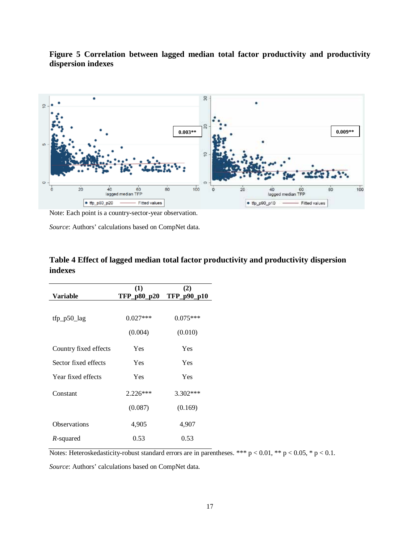

**Figure 5 Correlation between lagged median total factor productivity and productivity dispersion indexes**

Note: Each point is a country-sector-year observation.

*Source*: Authors' calculations based on CompNet data.

|                       | (1)         | (2)         |
|-----------------------|-------------|-------------|
| Variable              | TFP_p80_p20 | TFP_p90_p10 |
|                       |             |             |
| $ftp_p50_lag$         | $0.027***$  | $0.075***$  |
|                       | (0.004)     | (0.010)     |
| Country fixed effects | Yes         | Yes         |
| Sector fixed effects  | Yes         | <b>Yes</b>  |
| Year fixed effects    | Yes         | Yes         |
| Constant              | $2.226***$  | $3.302***$  |
|                       | (0.087)     | (0.169)     |
| Observations          | 4,905       | 4,907       |
| R-squared             | 0.53        | 0.53        |

| Table 4 Effect of lagged median total factor productivity and productivity dispersion |  |
|---------------------------------------------------------------------------------------|--|
| indexes                                                                               |  |

Notes: Heteroskedasticity-robust standard errors are in parentheses. \*\*\*  $p < 0.01$ , \*\*  $p < 0.05$ , \*  $p < 0.1$ .